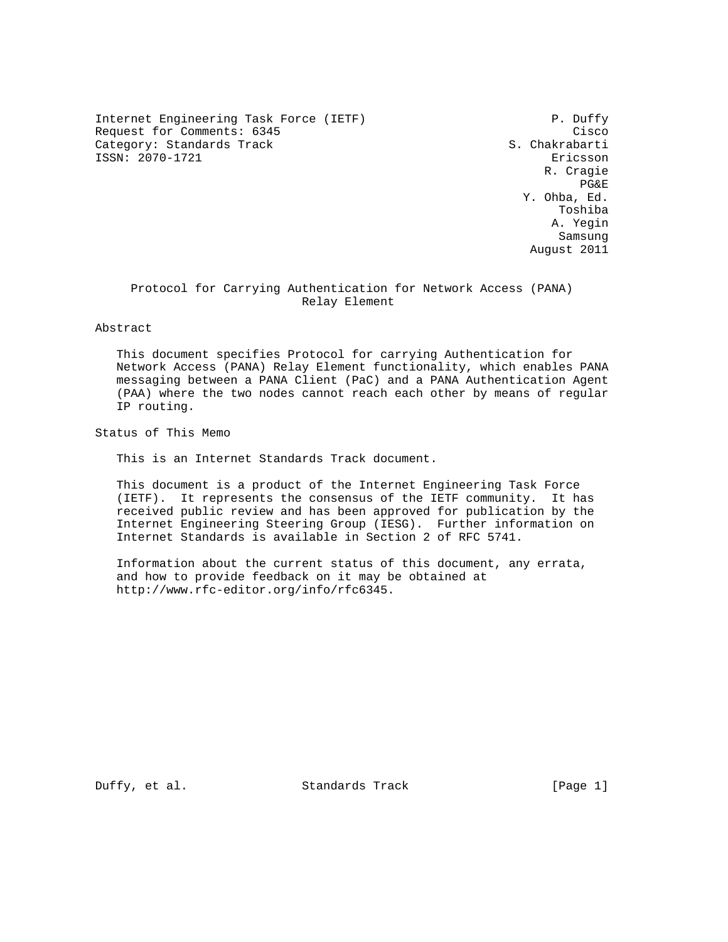Internet Engineering Task Force (IETF) P. Duffy Request for Comments: 6345 Cisco<br>Category: Standards Track Category: Standards Track Category: Standards Track ISSN: 2070-1721 Ericsson

 R. Cragie PG&E **PG**  Y. Ohba, Ed. Toshiba A. Yegin samsung sa sa sa sa sa sanggunian ng mga sanggunian ng mga sanggunian ng mga sanggunian ng mga sanggunian ng m August 2011

# Protocol for Carrying Authentication for Network Access (PANA) Relay Element

Abstract

 This document specifies Protocol for carrying Authentication for Network Access (PANA) Relay Element functionality, which enables PANA messaging between a PANA Client (PaC) and a PANA Authentication Agent (PAA) where the two nodes cannot reach each other by means of regular IP routing.

Status of This Memo

This is an Internet Standards Track document.

 This document is a product of the Internet Engineering Task Force (IETF). It represents the consensus of the IETF community. It has received public review and has been approved for publication by the Internet Engineering Steering Group (IESG). Further information on Internet Standards is available in Section 2 of RFC 5741.

 Information about the current status of this document, any errata, and how to provide feedback on it may be obtained at http://www.rfc-editor.org/info/rfc6345.

Duffy, et al. Standards Track [Page 1]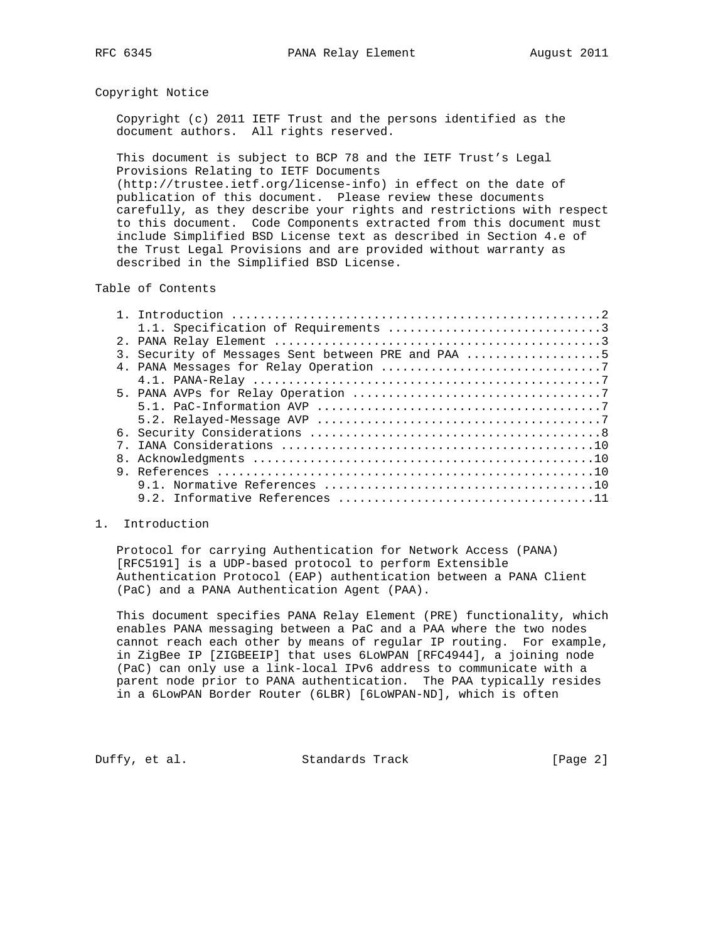#### Copyright Notice

 Copyright (c) 2011 IETF Trust and the persons identified as the document authors. All rights reserved.

 This document is subject to BCP 78 and the IETF Trust's Legal Provisions Relating to IETF Documents

 (http://trustee.ietf.org/license-info) in effect on the date of publication of this document. Please review these documents carefully, as they describe your rights and restrictions with respect to this document. Code Components extracted from this document must include Simplified BSD License text as described in Section 4.e of the Trust Legal Provisions and are provided without warranty as described in the Simplified BSD License.

## Table of Contents

|  | 3. Security of Messages Sent between PRE and PAA 5 |
|--|----------------------------------------------------|
|  |                                                    |
|  |                                                    |
|  |                                                    |
|  |                                                    |
|  |                                                    |
|  |                                                    |
|  |                                                    |
|  |                                                    |
|  |                                                    |
|  |                                                    |
|  |                                                    |

### 1. Introduction

 Protocol for carrying Authentication for Network Access (PANA) [RFC5191] is a UDP-based protocol to perform Extensible Authentication Protocol (EAP) authentication between a PANA Client (PaC) and a PANA Authentication Agent (PAA).

 This document specifies PANA Relay Element (PRE) functionality, which enables PANA messaging between a PaC and a PAA where the two nodes cannot reach each other by means of regular IP routing. For example, in ZigBee IP [ZIGBEEIP] that uses 6LoWPAN [RFC4944], a joining node (PaC) can only use a link-local IPv6 address to communicate with a parent node prior to PANA authentication. The PAA typically resides in a 6LowPAN Border Router (6LBR) [6LoWPAN-ND], which is often

Duffy, et al. Standards Track [Page 2]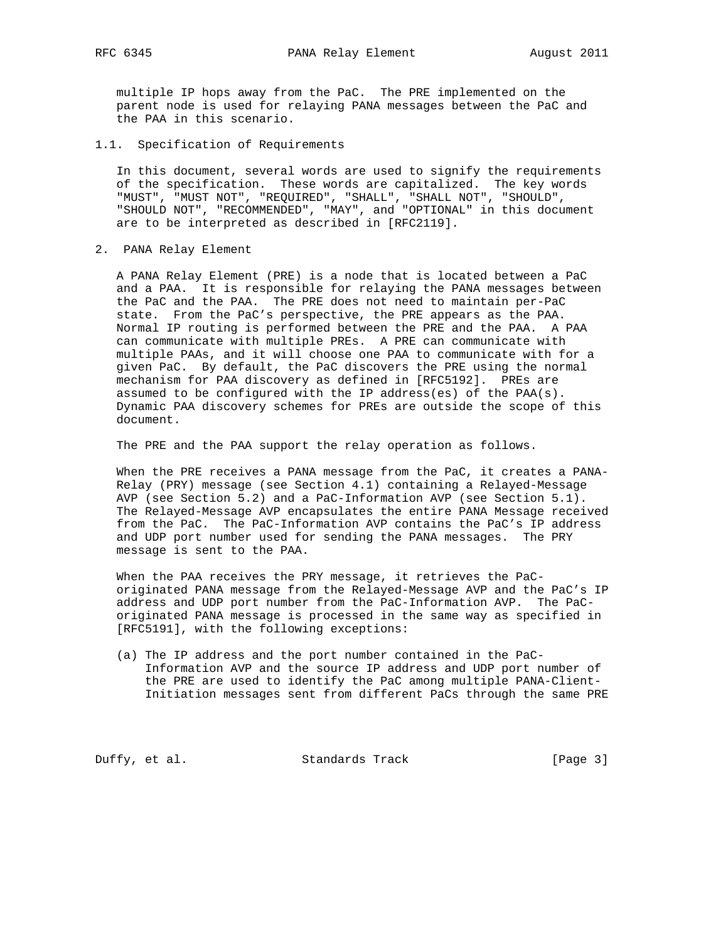multiple IP hops away from the PaC. The PRE implemented on the parent node is used for relaying PANA messages between the PaC and the PAA in this scenario.

1.1. Specification of Requirements

 In this document, several words are used to signify the requirements of the specification. These words are capitalized. The key words "MUST", "MUST NOT", "REQUIRED", "SHALL", "SHALL NOT", "SHOULD", "SHOULD NOT", "RECOMMENDED", "MAY", and "OPTIONAL" in this document are to be interpreted as described in [RFC2119].

2. PANA Relay Element

 A PANA Relay Element (PRE) is a node that is located between a PaC and a PAA. It is responsible for relaying the PANA messages between the PaC and the PAA. The PRE does not need to maintain per-PaC state. From the PaC's perspective, the PRE appears as the PAA. Normal IP routing is performed between the PRE and the PAA. A PAA can communicate with multiple PREs. A PRE can communicate with multiple PAAs, and it will choose one PAA to communicate with for a given PaC. By default, the PaC discovers the PRE using the normal mechanism for PAA discovery as defined in [RFC5192]. PREs are assumed to be configured with the IP address(es) of the  $PAA(s)$ . Dynamic PAA discovery schemes for PREs are outside the scope of this document.

The PRE and the PAA support the relay operation as follows.

 When the PRE receives a PANA message from the PaC, it creates a PANA- Relay (PRY) message (see Section 4.1) containing a Relayed-Message AVP (see Section 5.2) and a PaC-Information AVP (see Section 5.1). The Relayed-Message AVP encapsulates the entire PANA Message received from the PaC. The PaC-Information AVP contains the PaC's IP address and UDP port number used for sending the PANA messages. The PRY message is sent to the PAA.

 When the PAA receives the PRY message, it retrieves the PaC originated PANA message from the Relayed-Message AVP and the PaC's IP address and UDP port number from the PaC-Information AVP. The PaC originated PANA message is processed in the same way as specified in [RFC5191], with the following exceptions:

 (a) The IP address and the port number contained in the PaC- Information AVP and the source IP address and UDP port number of the PRE are used to identify the PaC among multiple PANA-Client- Initiation messages sent from different PaCs through the same PRE

Duffy, et al. Standards Track [Page 3]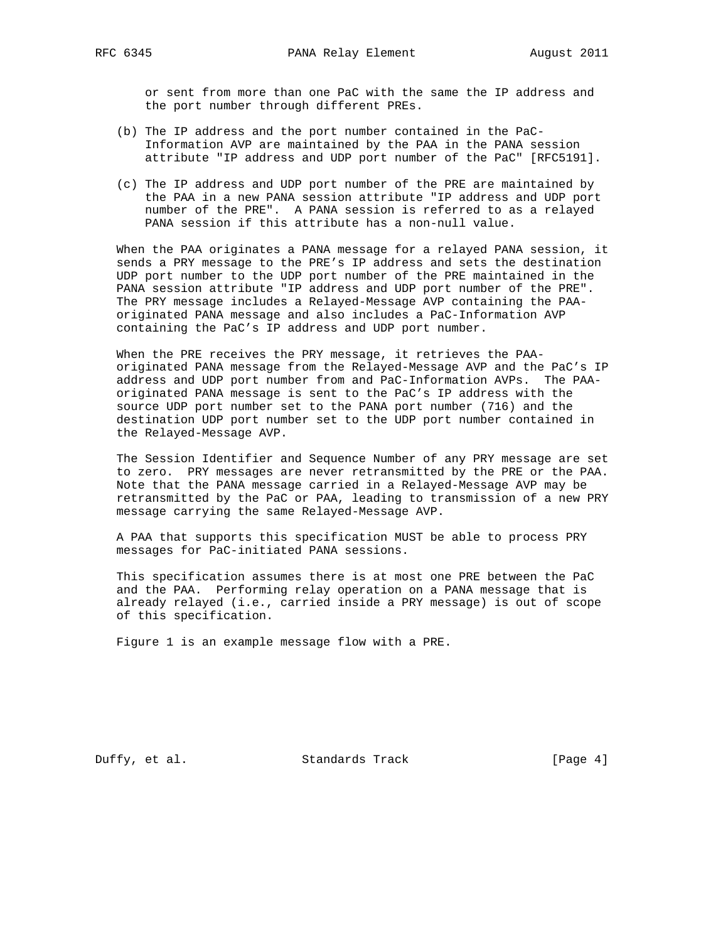or sent from more than one PaC with the same the IP address and the port number through different PREs.

- (b) The IP address and the port number contained in the PaC- Information AVP are maintained by the PAA in the PANA session attribute "IP address and UDP port number of the PaC" [RFC5191].
- (c) The IP address and UDP port number of the PRE are maintained by the PAA in a new PANA session attribute "IP address and UDP port number of the PRE". A PANA session is referred to as a relayed PANA session if this attribute has a non-null value.

 When the PAA originates a PANA message for a relayed PANA session, it sends a PRY message to the PRE's IP address and sets the destination UDP port number to the UDP port number of the PRE maintained in the PANA session attribute "IP address and UDP port number of the PRE". The PRY message includes a Relayed-Message AVP containing the PAA originated PANA message and also includes a PaC-Information AVP containing the PaC's IP address and UDP port number.

 When the PRE receives the PRY message, it retrieves the PAA originated PANA message from the Relayed-Message AVP and the PaC's IP address and UDP port number from and PaC-Information AVPs. The PAA originated PANA message is sent to the PaC's IP address with the source UDP port number set to the PANA port number (716) and the destination UDP port number set to the UDP port number contained in the Relayed-Message AVP.

 The Session Identifier and Sequence Number of any PRY message are set to zero. PRY messages are never retransmitted by the PRE or the PAA. Note that the PANA message carried in a Relayed-Message AVP may be retransmitted by the PaC or PAA, leading to transmission of a new PRY message carrying the same Relayed-Message AVP.

 A PAA that supports this specification MUST be able to process PRY messages for PaC-initiated PANA sessions.

 This specification assumes there is at most one PRE between the PaC and the PAA. Performing relay operation on a PANA message that is already relayed (i.e., carried inside a PRY message) is out of scope of this specification.

Figure 1 is an example message flow with a PRE.

Duffy, et al. Standards Track [Page 4]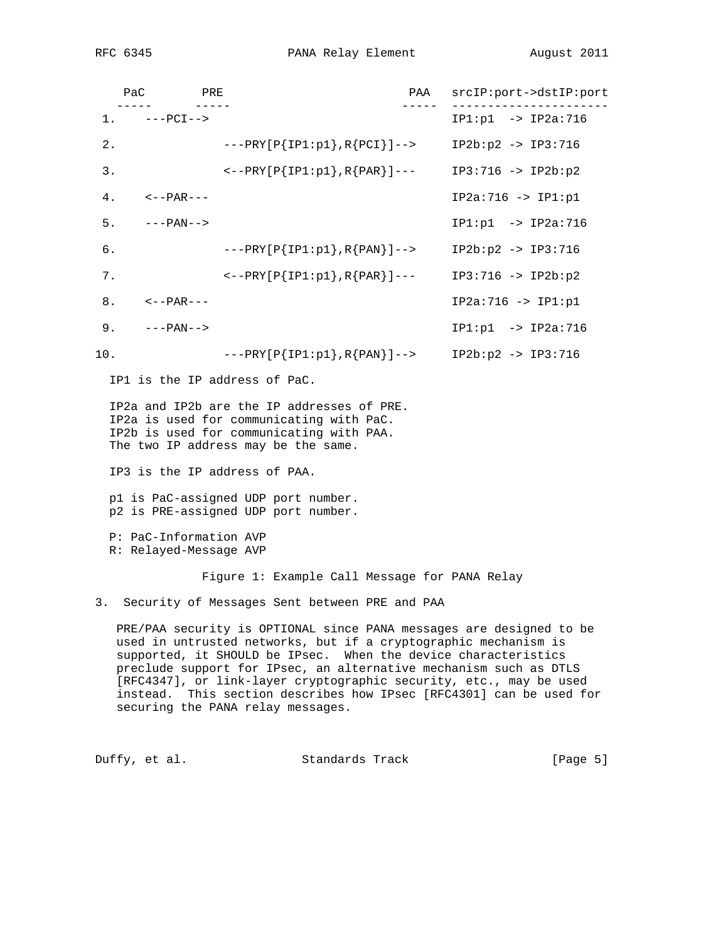RFC 6345 **PANA Relay Element** August 2011

|       | PAC<br><b>PRE</b><br>$- - - - - -$ |                                                                                                                                                                                                                                                                                                                                                                                                                                                                                                                                                                                                                | PAA | srcIP:port->dstIP:port          |
|-------|------------------------------------|----------------------------------------------------------------------------------------------------------------------------------------------------------------------------------------------------------------------------------------------------------------------------------------------------------------------------------------------------------------------------------------------------------------------------------------------------------------------------------------------------------------------------------------------------------------------------------------------------------------|-----|---------------------------------|
|       | $1. \t---PCI--$                    |                                                                                                                                                                                                                                                                                                                                                                                                                                                                                                                                                                                                                |     | $IP1: p1 -> IP2a: 716$          |
| $2$ . |                                    | $---PRY[P{IP1:p1}, R{PCI}]$ -->                                                                                                                                                                                                                                                                                                                                                                                                                                                                                                                                                                                |     | $IP2b: p2 -> IP3: 716$          |
| 3.    |                                    | $\left(--PRY[P{IP1:p1}, R{PAR}\right]$ ---                                                                                                                                                                                                                                                                                                                                                                                                                                                                                                                                                                     |     | $IP3:716 -> IP2b:p2$            |
| 4.    | <--PAR---                          |                                                                                                                                                                                                                                                                                                                                                                                                                                                                                                                                                                                                                |     | $IP2a:716 -> IP1:p1$            |
| 5.    | $---PAN-->$                        |                                                                                                                                                                                                                                                                                                                                                                                                                                                                                                                                                                                                                |     | $IP1: p1 -> IP2a: 716$          |
| 6.    |                                    | $---PRY[P{IP1:p1}, R{PAN}]-->$                                                                                                                                                                                                                                                                                                                                                                                                                                                                                                                                                                                 |     | $IP2b:p2 -> IP3:716$            |
| 7.    |                                    | $\left.\left.\left.\left.\left.\left.\right.\right.\right.\right.\right.\right.$ $\left.\left.\left.\left.\left.\left.\right.\right.\right.\right.\right\right.$ $\left.\left.\left.\left.\left.\right.\right.\right.\right\right.$ $\left.\left.\left.\left.\right.\right.\right\right\}$ $\left.\left.\left.\right.\right\right\right\}$ $\left.\left.\left.\left.\right.\right\right\right\}$ $\left.\left.\left.\right\right\right.$ $\left.\left.\left.\right\right\right\}$ $\left.\left.\left.\right\right\right.$ $\left.\left.\left.\right\right\right\right.$ $\left.\left.\left.\left.\right\right$ |     | $IP3:716 -> IP2b:p2$            |
| 8.    | <--PAR---                          |                                                                                                                                                                                                                                                                                                                                                                                                                                                                                                                                                                                                                |     | $IP2a:716 -> IP1:p1$            |
| 9.    | ---PAN-->                          |                                                                                                                                                                                                                                                                                                                                                                                                                                                                                                                                                                                                                |     | $IP1: p1 \rightarrow IP2a: 716$ |
| 10.   |                                    | $---PRY[P{IP1:p1}, R{PAN}]-->$                                                                                                                                                                                                                                                                                                                                                                                                                                                                                                                                                                                 |     | $IP2b: p2 -> IP3: 716$          |

IP1 is the IP address of PaC.

 IP2a and IP2b are the IP addresses of PRE. IP2a is used for communicating with PaC. IP2b is used for communicating with PAA. The two IP address may be the same.

IP3 is the IP address of PAA.

 p1 is PaC-assigned UDP port number. p2 is PRE-assigned UDP port number.

 P: PaC-Information AVP R: Relayed-Message AVP

Figure 1: Example Call Message for PANA Relay

3. Security of Messages Sent between PRE and PAA

 PRE/PAA security is OPTIONAL since PANA messages are designed to be used in untrusted networks, but if a cryptographic mechanism is supported, it SHOULD be IPsec. When the device characteristics preclude support for IPsec, an alternative mechanism such as DTLS [RFC4347], or link-layer cryptographic security, etc., may be used instead. This section describes how IPsec [RFC4301] can be used for securing the PANA relay messages.

Duffy, et al. Standards Track [Page 5]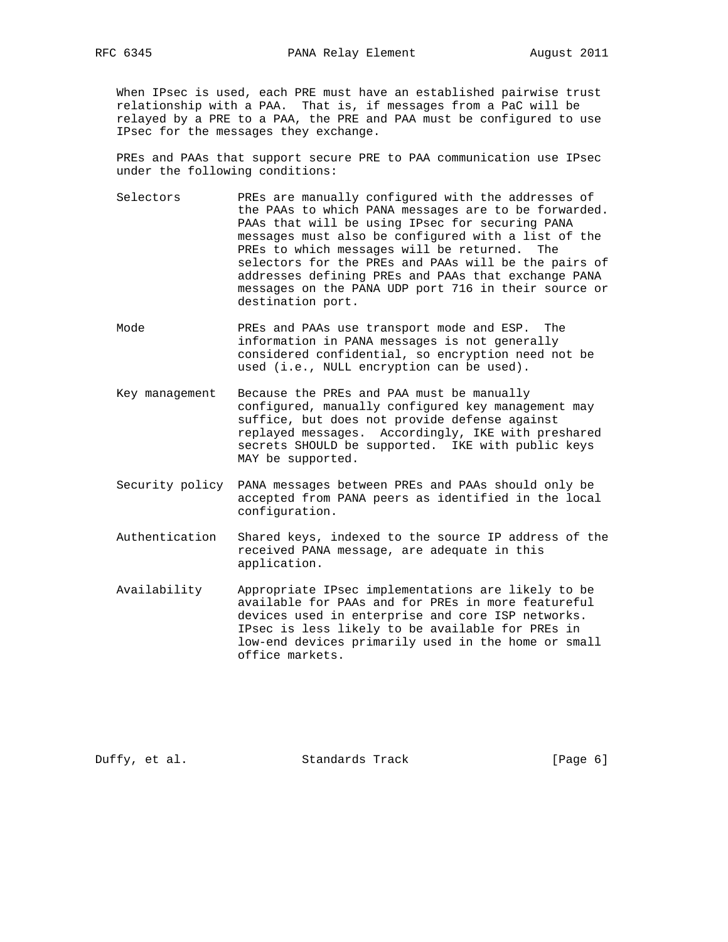When IPsec is used, each PRE must have an established pairwise trust relationship with a PAA. That is, if messages from a PaC will be relayed by a PRE to a PAA, the PRE and PAA must be configured to use IPsec for the messages they exchange.

 PREs and PAAs that support secure PRE to PAA communication use IPsec under the following conditions:

- Selectors PREs are manually configured with the addresses of the PAAs to which PANA messages are to be forwarded. PAAs that will be using IPsec for securing PANA messages must also be configured with a list of the PREs to which messages will be returned. The selectors for the PREs and PAAs will be the pairs of addresses defining PREs and PAAs that exchange PANA messages on the PANA UDP port 716 in their source or destination port.
- Mode PREs and PAAs use transport mode and ESP. The information in PANA messages is not generally considered confidential, so encryption need not be used (i.e., NULL encryption can be used).
- Key management Because the PREs and PAA must be manually configured, manually configured key management may suffice, but does not provide defense against replayed messages. Accordingly, IKE with preshared secrets SHOULD be supported. IKE with public keys MAY be supported.
- Security policy PANA messages between PREs and PAAs should only be accepted from PANA peers as identified in the local configuration.
- Authentication Shared keys, indexed to the source IP address of the received PANA message, are adequate in this application.
- Availability Appropriate IPsec implementations are likely to be available for PAAs and for PREs in more featureful devices used in enterprise and core ISP networks. IPsec is less likely to be available for PREs in low-end devices primarily used in the home or small office markets.

Duffy, et al. Standards Track [Page 6]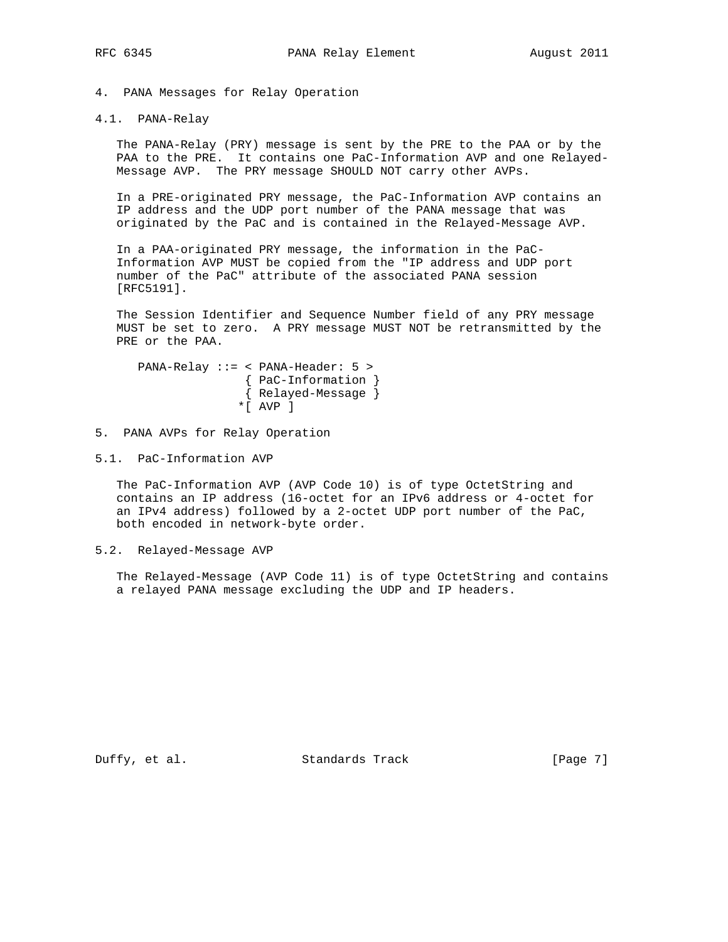4. PANA Messages for Relay Operation

4.1. PANA-Relay

 The PANA-Relay (PRY) message is sent by the PRE to the PAA or by the PAA to the PRE. It contains one PaC-Information AVP and one Relayed- Message AVP. The PRY message SHOULD NOT carry other AVPs.

 In a PRE-originated PRY message, the PaC-Information AVP contains an IP address and the UDP port number of the PANA message that was originated by the PaC and is contained in the Relayed-Message AVP.

 In a PAA-originated PRY message, the information in the PaC- Information AVP MUST be copied from the "IP address and UDP port number of the PaC" attribute of the associated PANA session [RFC5191].

 The Session Identifier and Sequence Number field of any PRY message MUST be set to zero. A PRY message MUST NOT be retransmitted by the PRE or the PAA.

 PANA-Relay ::= < PANA-Header: 5 > { PaC-Information } { Relayed-Message }  $*$  $\lceil$  AVP  $\rceil$ 

5. PANA AVPs for Relay Operation

5.1. PaC-Information AVP

 The PaC-Information AVP (AVP Code 10) is of type OctetString and contains an IP address (16-octet for an IPv6 address or 4-octet for an IPv4 address) followed by a 2-octet UDP port number of the PaC, both encoded in network-byte order.

5.2. Relayed-Message AVP

 The Relayed-Message (AVP Code 11) is of type OctetString and contains a relayed PANA message excluding the UDP and IP headers.

Duffy, et al. Standards Track [Page 7]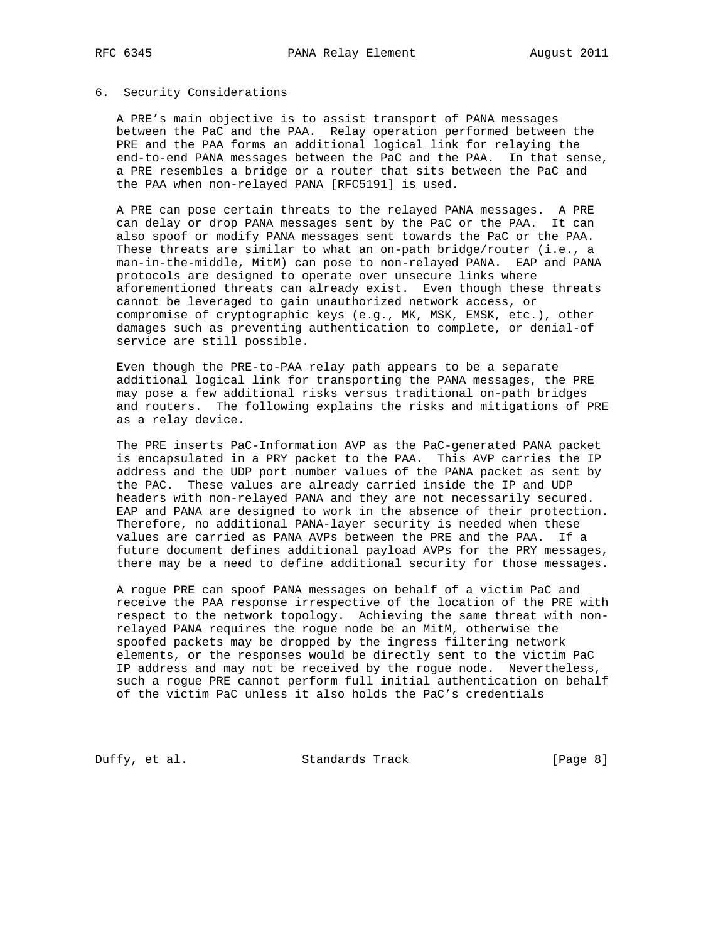#### 6. Security Considerations

 A PRE's main objective is to assist transport of PANA messages between the PaC and the PAA. Relay operation performed between the PRE and the PAA forms an additional logical link for relaying the end-to-end PANA messages between the PaC and the PAA. In that sense, a PRE resembles a bridge or a router that sits between the PaC and the PAA when non-relayed PANA [RFC5191] is used.

 A PRE can pose certain threats to the relayed PANA messages. A PRE can delay or drop PANA messages sent by the PaC or the PAA. It can also spoof or modify PANA messages sent towards the PaC or the PAA. These threats are similar to what an on-path bridge/router (i.e., a man-in-the-middle, MitM) can pose to non-relayed PANA. EAP and PANA protocols are designed to operate over unsecure links where aforementioned threats can already exist. Even though these threats cannot be leveraged to gain unauthorized network access, or compromise of cryptographic keys (e.g., MK, MSK, EMSK, etc.), other damages such as preventing authentication to complete, or denial-of service are still possible.

 Even though the PRE-to-PAA relay path appears to be a separate additional logical link for transporting the PANA messages, the PRE may pose a few additional risks versus traditional on-path bridges and routers. The following explains the risks and mitigations of PRE as a relay device.

 The PRE inserts PaC-Information AVP as the PaC-generated PANA packet is encapsulated in a PRY packet to the PAA. This AVP carries the IP address and the UDP port number values of the PANA packet as sent by the PAC. These values are already carried inside the IP and UDP headers with non-relayed PANA and they are not necessarily secured. EAP and PANA are designed to work in the absence of their protection. Therefore, no additional PANA-layer security is needed when these values are carried as PANA AVPs between the PRE and the PAA. If a future document defines additional payload AVPs for the PRY messages, there may be a need to define additional security for those messages.

 A rogue PRE can spoof PANA messages on behalf of a victim PaC and receive the PAA response irrespective of the location of the PRE with respect to the network topology. Achieving the same threat with non relayed PANA requires the rogue node be an MitM, otherwise the spoofed packets may be dropped by the ingress filtering network elements, or the responses would be directly sent to the victim PaC IP address and may not be received by the rogue node. Nevertheless, such a rogue PRE cannot perform full initial authentication on behalf of the victim PaC unless it also holds the PaC's credentials

Duffy, et al. Standards Track [Page 8]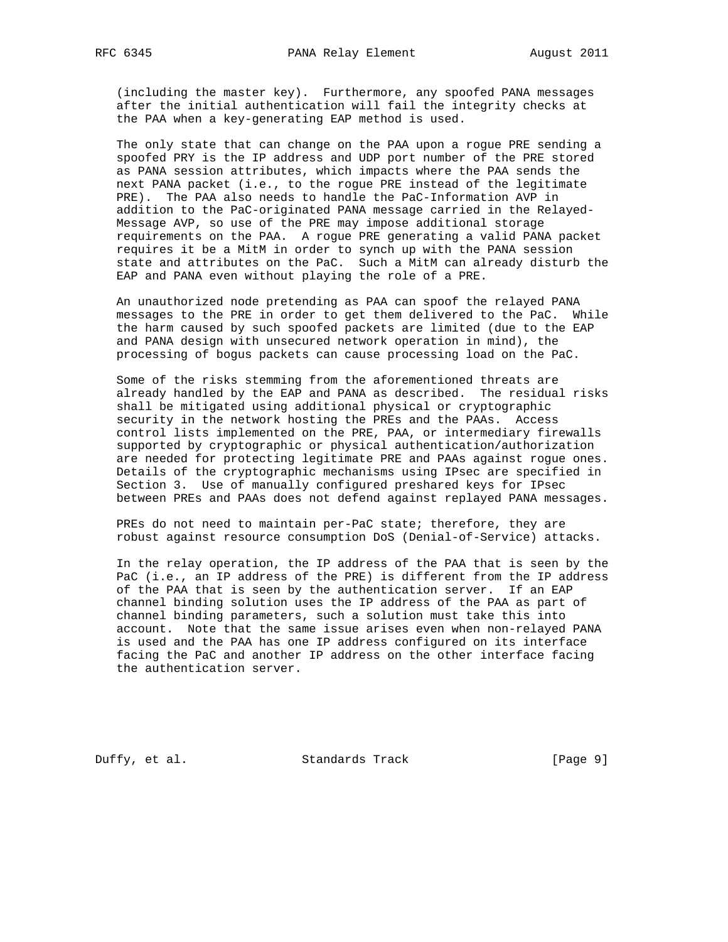(including the master key). Furthermore, any spoofed PANA messages after the initial authentication will fail the integrity checks at the PAA when a key-generating EAP method is used.

 The only state that can change on the PAA upon a rogue PRE sending a spoofed PRY is the IP address and UDP port number of the PRE stored as PANA session attributes, which impacts where the PAA sends the next PANA packet (i.e., to the rogue PRE instead of the legitimate PRE). The PAA also needs to handle the PaC-Information AVP in addition to the PaC-originated PANA message carried in the Relayed- Message AVP, so use of the PRE may impose additional storage requirements on the PAA. A rogue PRE generating a valid PANA packet requires it be a MitM in order to synch up with the PANA session state and attributes on the PaC. Such a MitM can already disturb the EAP and PANA even without playing the role of a PRE.

 An unauthorized node pretending as PAA can spoof the relayed PANA messages to the PRE in order to get them delivered to the PaC. While the harm caused by such spoofed packets are limited (due to the EAP and PANA design with unsecured network operation in mind), the processing of bogus packets can cause processing load on the PaC.

 Some of the risks stemming from the aforementioned threats are already handled by the EAP and PANA as described. The residual risks shall be mitigated using additional physical or cryptographic security in the network hosting the PREs and the PAAs. Access control lists implemented on the PRE, PAA, or intermediary firewalls supported by cryptographic or physical authentication/authorization are needed for protecting legitimate PRE and PAAs against rogue ones. Details of the cryptographic mechanisms using IPsec are specified in Section 3. Use of manually configured preshared keys for IPsec between PREs and PAAs does not defend against replayed PANA messages.

PREs do not need to maintain per-PaC state; therefore, they are robust against resource consumption DoS (Denial-of-Service) attacks.

 In the relay operation, the IP address of the PAA that is seen by the PaC (i.e., an IP address of the PRE) is different from the IP address of the PAA that is seen by the authentication server. If an EAP channel binding solution uses the IP address of the PAA as part of channel binding parameters, such a solution must take this into account. Note that the same issue arises even when non-relayed PANA is used and the PAA has one IP address configured on its interface facing the PaC and another IP address on the other interface facing the authentication server.

Duffy, et al. Standards Track [Page 9]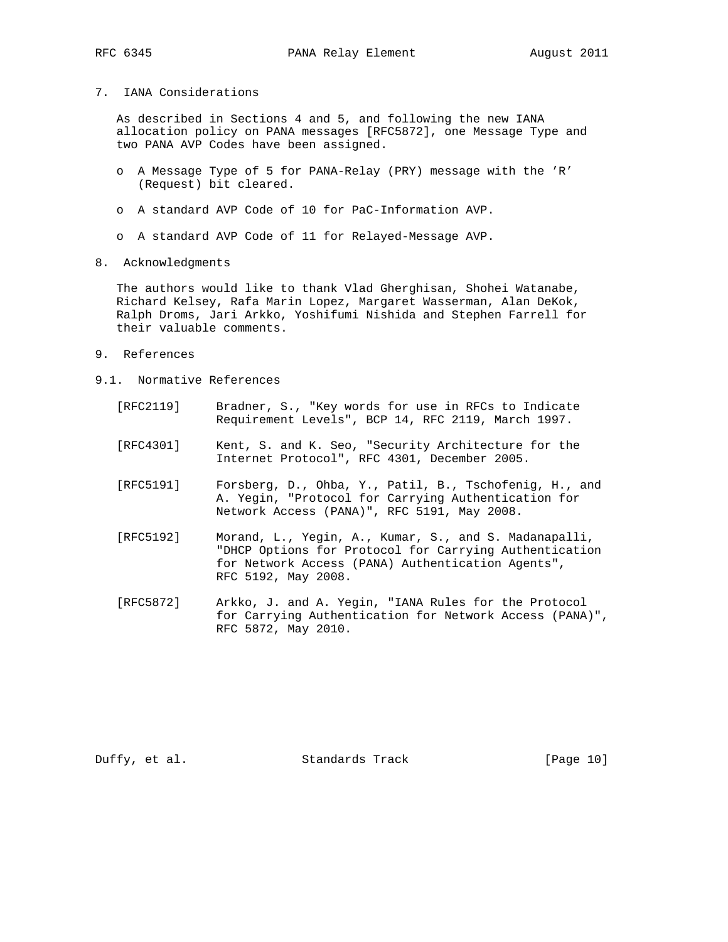## 7. IANA Considerations

 As described in Sections 4 and 5, and following the new IANA allocation policy on PANA messages [RFC5872], one Message Type and two PANA AVP Codes have been assigned.

- o A Message Type of 5 for PANA-Relay (PRY) message with the 'R' (Request) bit cleared.
- o A standard AVP Code of 10 for PaC-Information AVP.
- o A standard AVP Code of 11 for Relayed-Message AVP.
- 8. Acknowledgments

 The authors would like to thank Vlad Gherghisan, Shohei Watanabe, Richard Kelsey, Rafa Marin Lopez, Margaret Wasserman, Alan DeKok, Ralph Droms, Jari Arkko, Yoshifumi Nishida and Stephen Farrell for their valuable comments.

- 9. References
- 9.1. Normative References
	- [RFC2119] Bradner, S., "Key words for use in RFCs to Indicate Requirement Levels", BCP 14, RFC 2119, March 1997.
	- [RFC4301] Kent, S. and K. Seo, "Security Architecture for the Internet Protocol", RFC 4301, December 2005.
	- [RFC5191] Forsberg, D., Ohba, Y., Patil, B., Tschofenig, H., and A. Yegin, "Protocol for Carrying Authentication for Network Access (PANA)", RFC 5191, May 2008.
	- [RFC5192] Morand, L., Yegin, A., Kumar, S., and S. Madanapalli, "DHCP Options for Protocol for Carrying Authentication for Network Access (PANA) Authentication Agents", RFC 5192, May 2008.
	- [RFC5872] Arkko, J. and A. Yegin, "IANA Rules for the Protocol for Carrying Authentication for Network Access (PANA)", RFC 5872, May 2010.

Duffy, et al. Standards Track [Page 10]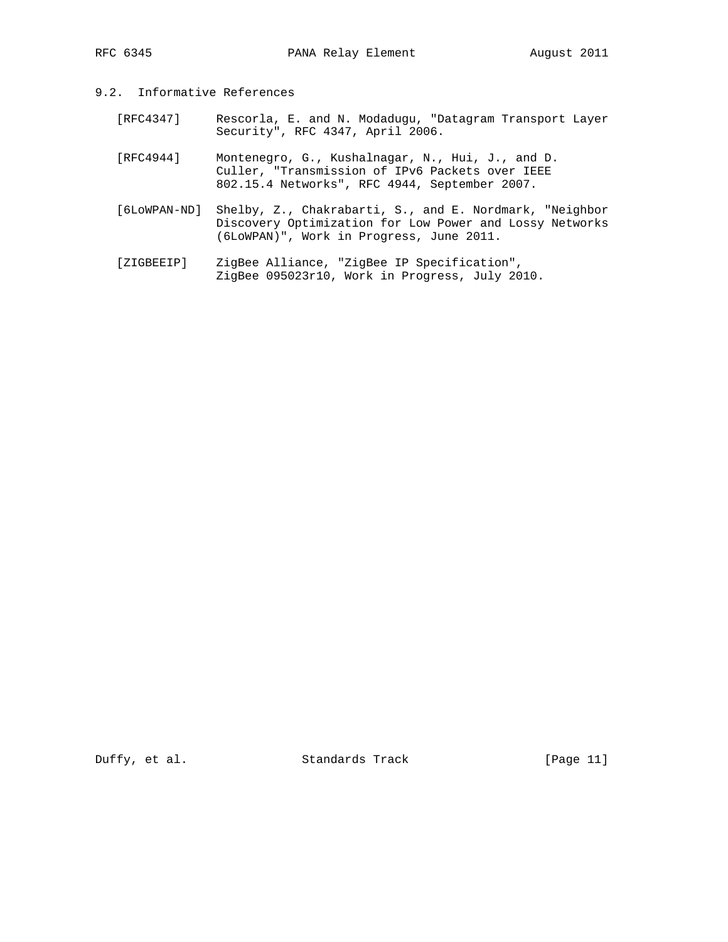## 9.2. Informative References

- [RFC4347] Rescorla, E. and N. Modadugu, "Datagram Transport Layer Security", RFC 4347, April 2006.
- [RFC4944] Montenegro, G., Kushalnagar, N., Hui, J., and D. Culler, "Transmission of IPv6 Packets over IEEE 802.15.4 Networks", RFC 4944, September 2007.
- [6LoWPAN-ND] Shelby, Z., Chakrabarti, S., and E. Nordmark, "Neighbor Discovery Optimization for Low Power and Lossy Networks (6LoWPAN)", Work in Progress, June 2011.
- [ZIGBEEIP] ZigBee Alliance, "ZigBee IP Specification", ZigBee 095023r10, Work in Progress, July 2010.

Duffy, et al. Standards Track [Page 11]